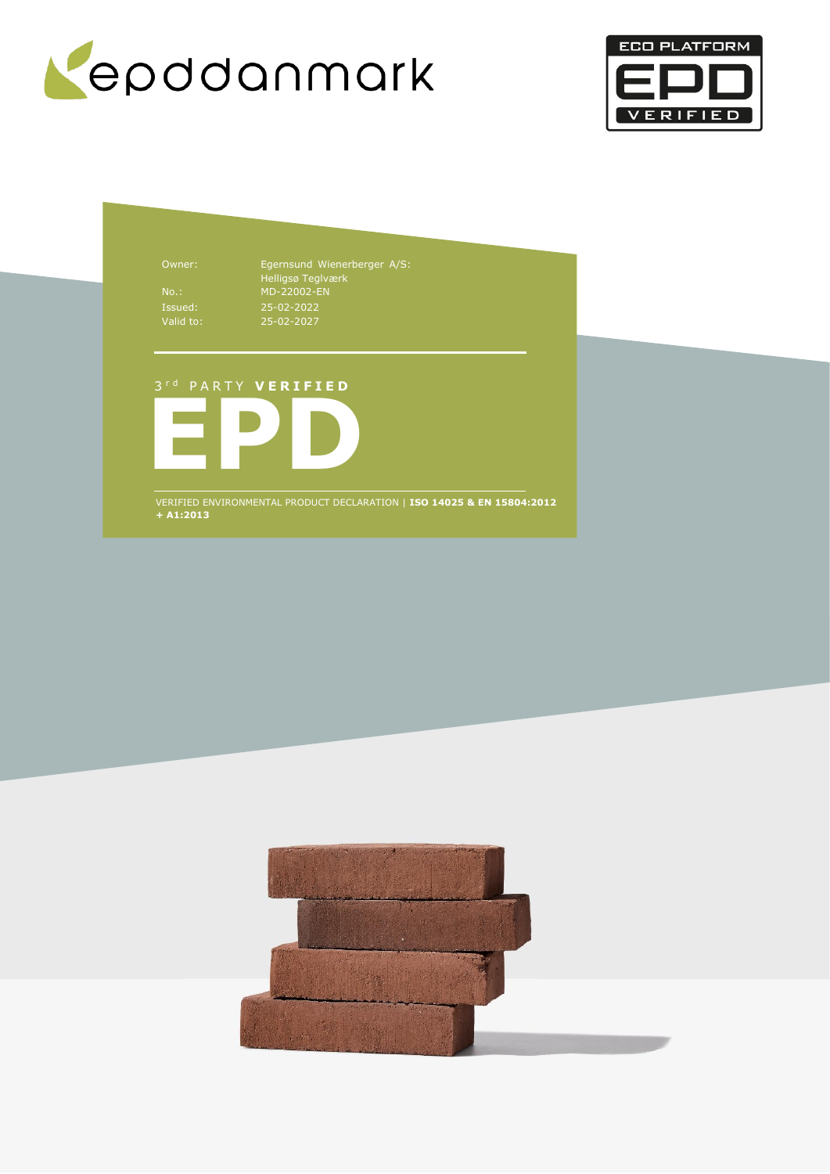



Owner: Egernsund Wienerberger A/S: Helligsø Teglværk No.: MD-22002-EN 25-02-2022 25-02-2027

## 3 r d P A R T Y **V E R I F I E D**



VERIFIED ENVIRONMENTAL PRODUCT DECLARATION | **ISO 14025 & EN 15804:2012 + A1:2013**

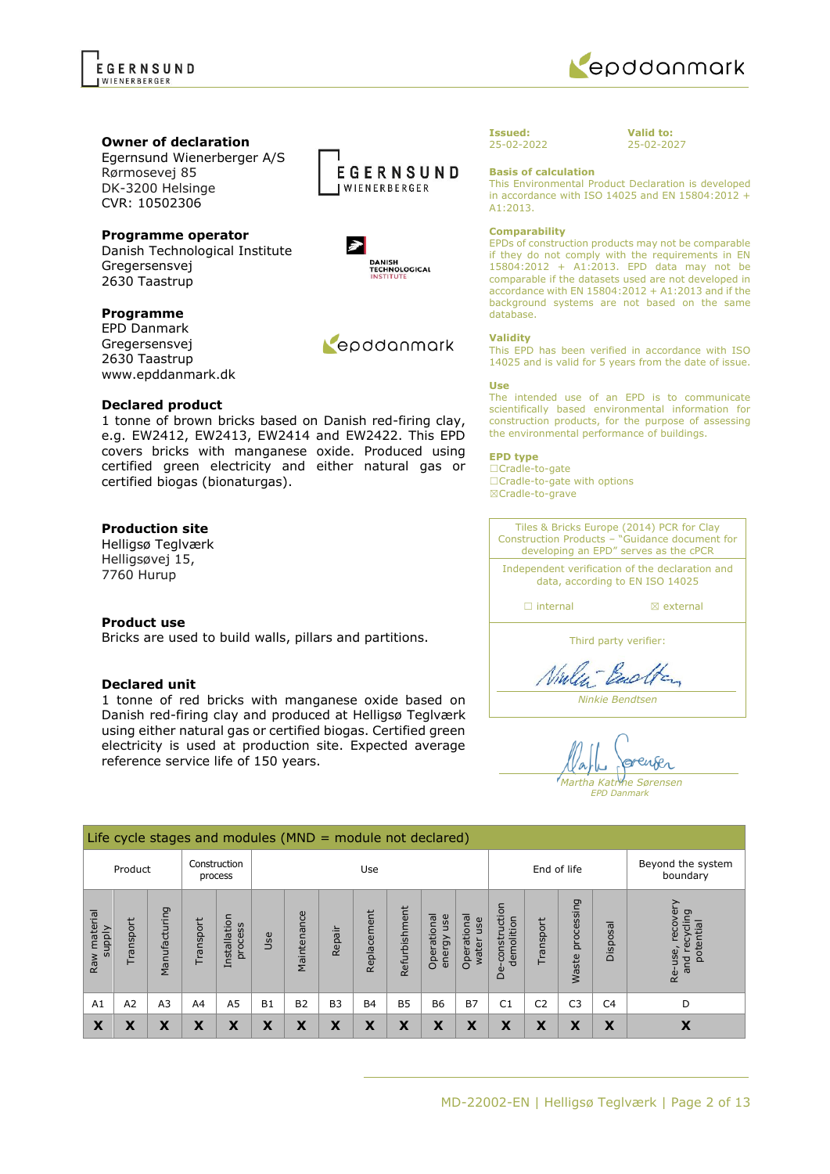

### **Owner of declaration**

Egernsund Wienerberger A/S Rørmosevej 85 DK-3200 Helsinge CVR: 10502306

## **Programme operator**

Danish Technological Institute Gregersensvej 2630 Taastrup

## **Programme**

EPD Danmark Gregersensvej 2630 Taastrup www.epddanmark.dk

### **Declared product**

1 tonne of brown bricks based on Danish red-firing clay, e.g. EW2412, EW2413, EW2414 and EW2422. This EPD covers bricks with manganese oxide. Produced using certified green electricity and either natural gas or certified biogas (bionaturgas).

## **Production site**

Helligsø Teglværk Helligsøvej 15, 7760 Hurup

### **Product use**

Bricks are used to build walls, pillars and partitions.

### **Declared unit**

1 tonne of red bricks with manganese oxide based on Danish red-firing clay and produced at Helligsø Teglværk using either natural gas or certified biogas. Certified green electricity is used at production site. Expected average reference service life of 150 years.







25-02-2027

**Valid to:**

**Basis of calculation**

This Environmental Product Declaration is developed in accordance with ISO 14025 and EN 15804:2012 + A1:2013.

#### **Comparability**

EPDs of construction products may not be comparable if they do not comply with the requirements in EN 15804:2012 + A1:2013. EPD data may not be comparable if the datasets used are not developed in accordance with EN 15804:2012 + A1:2013 and if the background systems are not based on the same database.

#### **Validity**

This EPD has been verified in accordance with ISO 14025 and is valid for 5 years from the date of issue.

#### **Use**

The intended use of an EPD is to communicate scientifically based environmental information for construction products, for the purpose of assessing the environmental performance of buildings.

### **EPD type**

☐Cradle-to-gate ☐Cradle-to-gate with options ☒Cradle-to-grave

Tiles & Bricks Europe (2014) PCR for Clay Construction Products – "Guidance document for developing an EPD" serves as the cPCR Independent verification of the declaration and data, according to EN ISO 14025 ☐ internal ☒ external Third party verifier: Vialent Backen

*Ninkie Bendtsen*

enser  $n$ *Martha Katrine Sørensen EPD Danmark*

Life cycle stages and modules (MND = module not declared) Construction Use **End of life** Beyond the system Product process boundary processing De-construction Waste processing Re-use, recovery Re-use, recovery De-construction nd recycling<br>potential Raw material Refurbishment and recycling Manufacturing Manufacturing Refurbishment Raw material Installation Maintenance Replacement Operational Operational<br>water use Operational Replacement Operational energy use Installation demolition Transport Transport Transport Disposal process supply Repair Use Waste and r A1 | A2 | A3 | A4 | A5 | B1 | B2 | B3 | B4 | B5 | B6 | B7 | C1 | C2 | C3 | C4 | D **X X X X X X X X X X X X X X X X X**



Repodanmark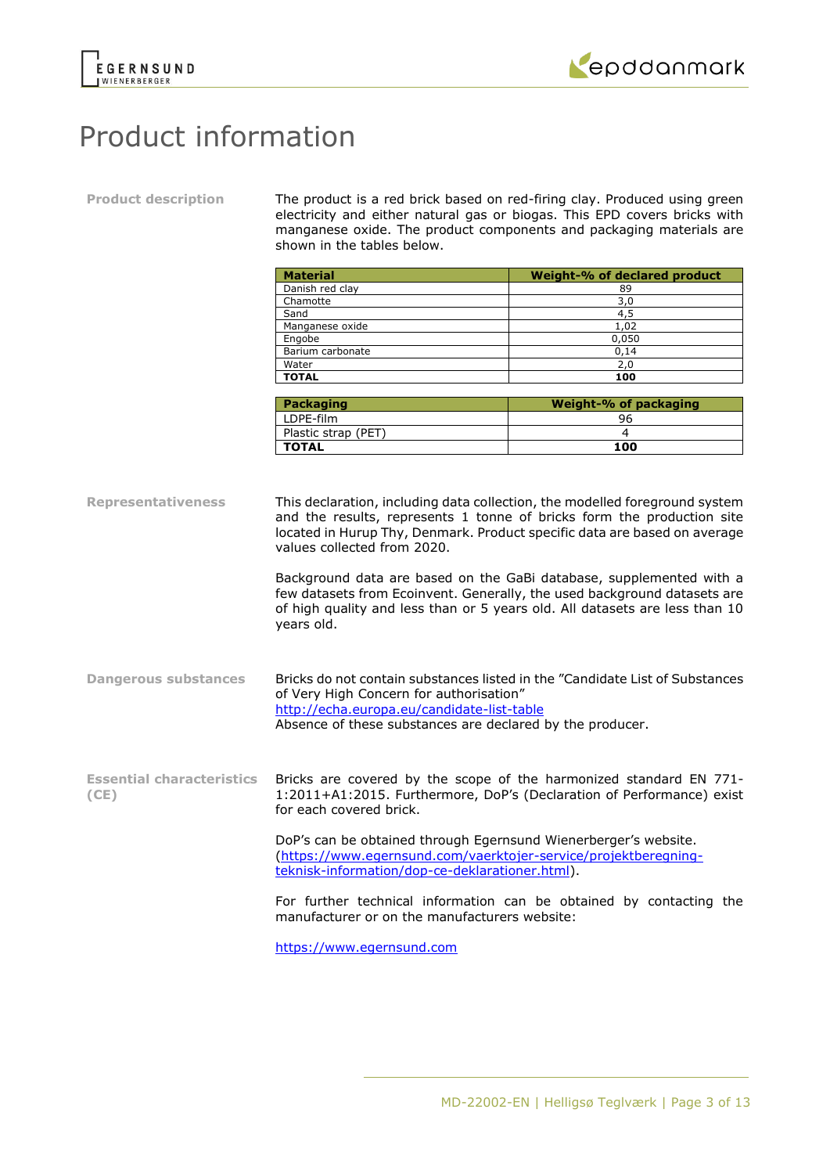



# Product information

**Product description** The product is a red brick based on red-firing clay. Produced using green electricity and either natural gas or biogas. This EPD covers bricks with manganese oxide. The product components and packaging materials are shown in the tables below.

| <b>Material</b>  | Weight-% of declared product |
|------------------|------------------------------|
| Danish red clay  | 89                           |
| Chamotte         | 3,0                          |
| Sand             | 4,5                          |
| Manganese oxide  | 1,02                         |
| Engobe           | 0,050                        |
| Barium carbonate | 0,14                         |
| Water            | 2,0                          |
| <b>TOTAL</b>     | 100                          |

| Packaging           | Weight-% of packaging |
|---------------------|-----------------------|
| LDPE-film           | 96                    |
| Plastic strap (PET) |                       |
| <b>TOTAL</b>        | 100                   |

**Representativeness** This declaration, including data collection, the modelled foreground system and the results, represents 1 tonne of bricks form the production site located in Hurup Thy, Denmark. Product specific data are based on average values collected from 2020.

> Background data are based on the GaBi database, supplemented with a few datasets from Ecoinvent. Generally, the used background datasets are of high quality and less than or 5 years old. All datasets are less than 10 years old.

**Dangerous substances** Bricks do not contain substances listed in the "Candidate List of Substances of Very High Concern for authorisation" <http://echa.europa.eu/candidate-list-table> Absence of these substances are declared by the producer.

**Essential characteristics (CE)** Bricks are covered by the scope of the harmonized standard EN 771- 1:2011+A1:2015. Furthermore, DoP's (Declaration of Performance) exist for each covered brick.

> DoP's can be obtained through Egernsund Wienerberger's website. [\(https://www.egernsund.com/vaerktojer-service/projektberegning](https://www.egernsund.com/vaerktojer-service/projektberegning-teknisk-information/dop-ce-deklarationer.html)[teknisk-information/dop-ce-deklarationer.html\)](https://www.egernsund.com/vaerktojer-service/projektberegning-teknisk-information/dop-ce-deklarationer.html).

For further technical information can be obtained by contacting the manufacturer or on the manufacturers website:

[https://www.egernsund.com](https://www.egernsund.com/)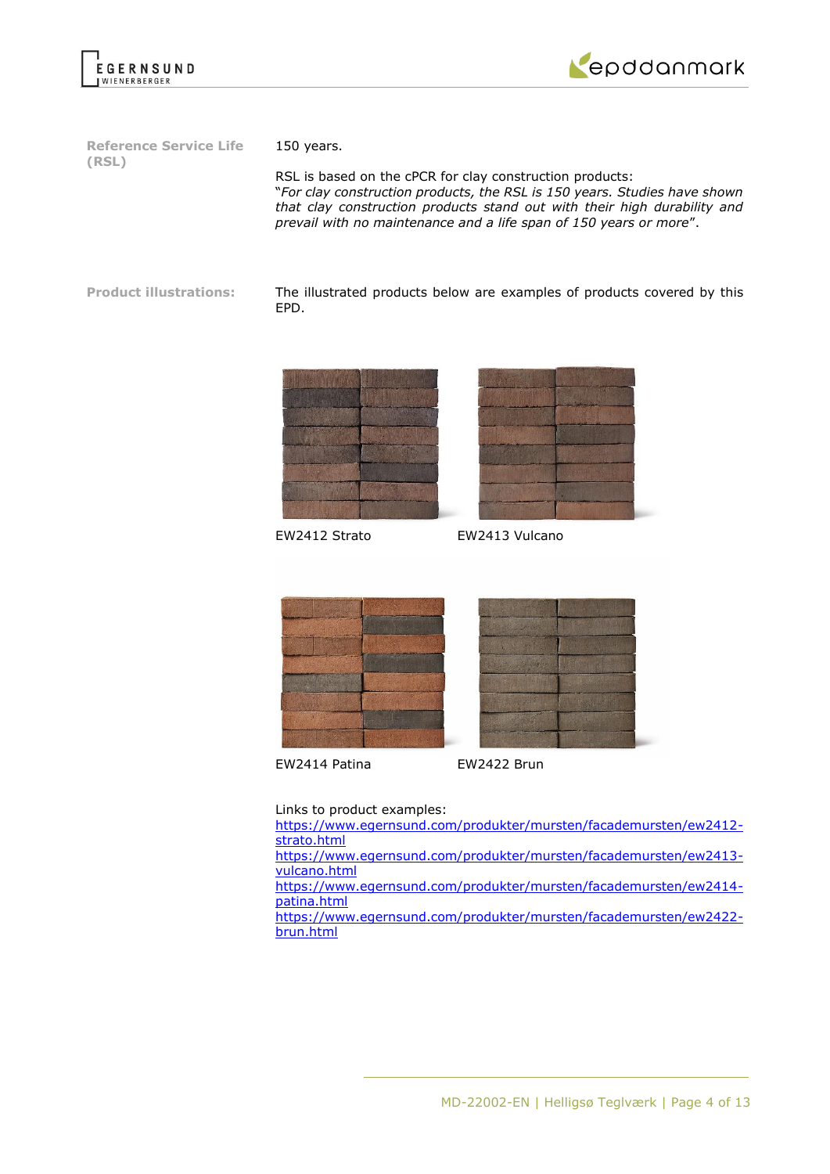



**Reference Service Life (RSL)**

150 years.

RSL is based on the cPCR for clay construction products: "*For clay construction products, the RSL is 150 years. Studies have shown that clay construction products stand out with their high durability and prevail with no maintenance and a life span of 150 years or more*".

**Product illustrations:** The illustrated products below are examples of products covered by this EPD.





EW2412 Strato EW2413 Vulcano





EW2414 Patina EW2422 Brun

Links to product examples:

[https://www.egernsund.com/produkter/mursten/facademursten/ew2412](https://www.egernsund.com/produkter/mursten/facademursten/ew2412-strato.html) [strato.html](https://www.egernsund.com/produkter/mursten/facademursten/ew2412-strato.html) [https://www.egernsund.com/produkter/mursten/facademursten/ew2413](https://www.egernsund.com/produkter/mursten/facademursten/ew2413-vulcano.html) [vulcano.html](https://www.egernsund.com/produkter/mursten/facademursten/ew2413-vulcano.html) [https://www.egernsund.com/produkter/mursten/facademursten/ew2414](https://www.egernsund.com/produkter/mursten/facademursten/ew2414-patina.html) [patina.html](https://www.egernsund.com/produkter/mursten/facademursten/ew2414-patina.html) [https://www.egernsund.com/produkter/mursten/facademursten/ew2422](https://www.egernsund.com/produkter/mursten/facademursten/ew2422-brun.html) [brun.html](https://www.egernsund.com/produkter/mursten/facademursten/ew2422-brun.html)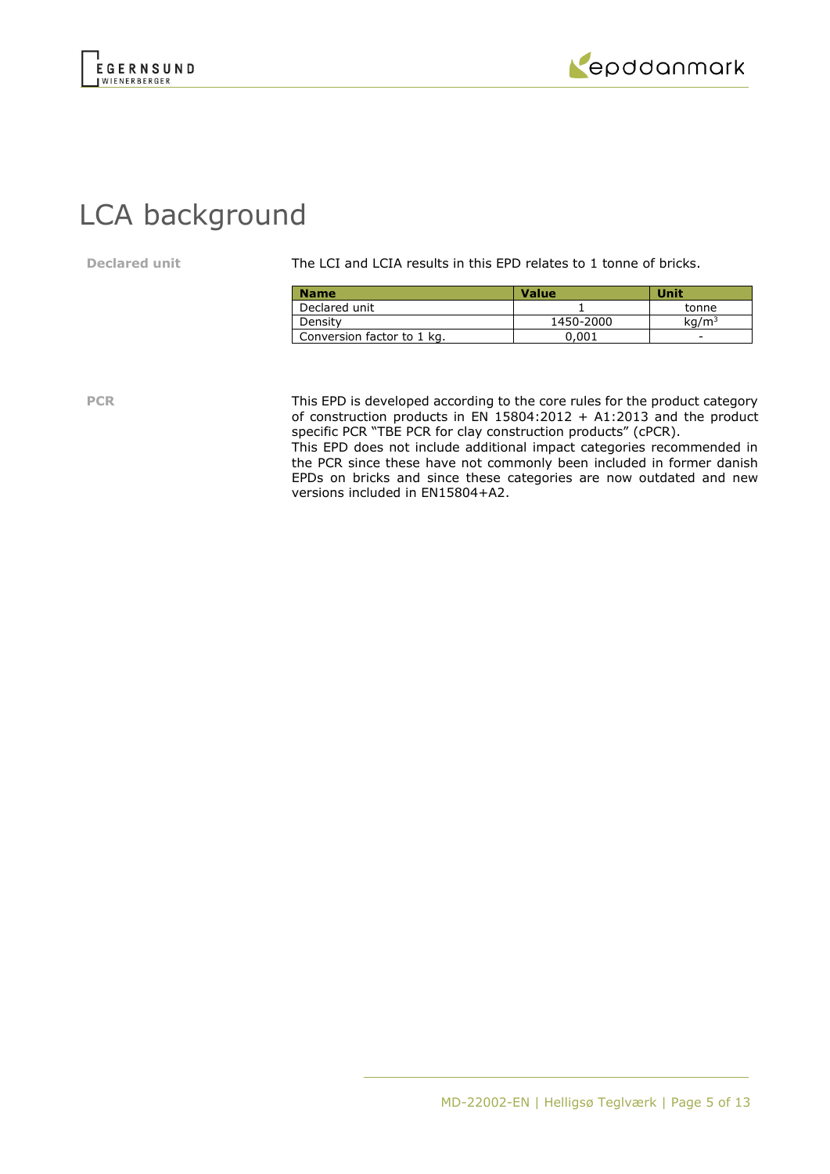



# LCA background

**Declared unit** The LCI and LCIA results in this EPD relates to 1 tonne of bricks.

| <b>Name</b>                | <b>Value</b> | Unit              |
|----------------------------|--------------|-------------------|
| Declared unit              |              | tonne             |
| Density                    | 1450-2000    | ka/m <sup>3</sup> |
| Conversion factor to 1 kg. | 0.001        | -                 |

**PCR** This EPD is developed according to the core rules for the product category of construction products in EN 15804:2012 + A1:2013 and the product specific PCR "TBE PCR for clay construction products" (cPCR). This EPD does not include additional impact categories recommended in

the PCR since these have not commonly been included in former danish EPDs on bricks and since these categories are now outdated and new versions included in EN15804+A2.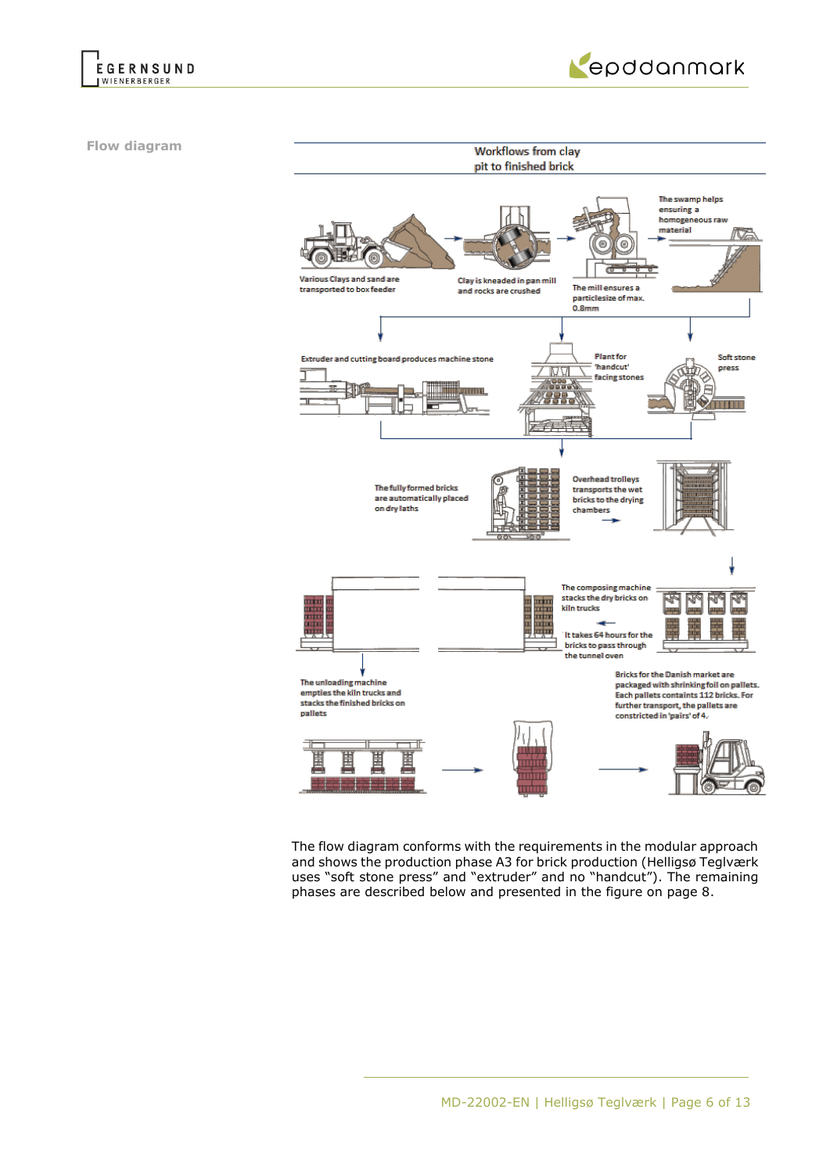



**Flow diagram**



The flow diagram conforms with the requirements in the modular approach and shows the production phase A3 for brick production (Helligsø Teglværk uses "soft stone press" and "extruder" and no "handcut"). The remaining phases are described below and presented in the figure on page 8.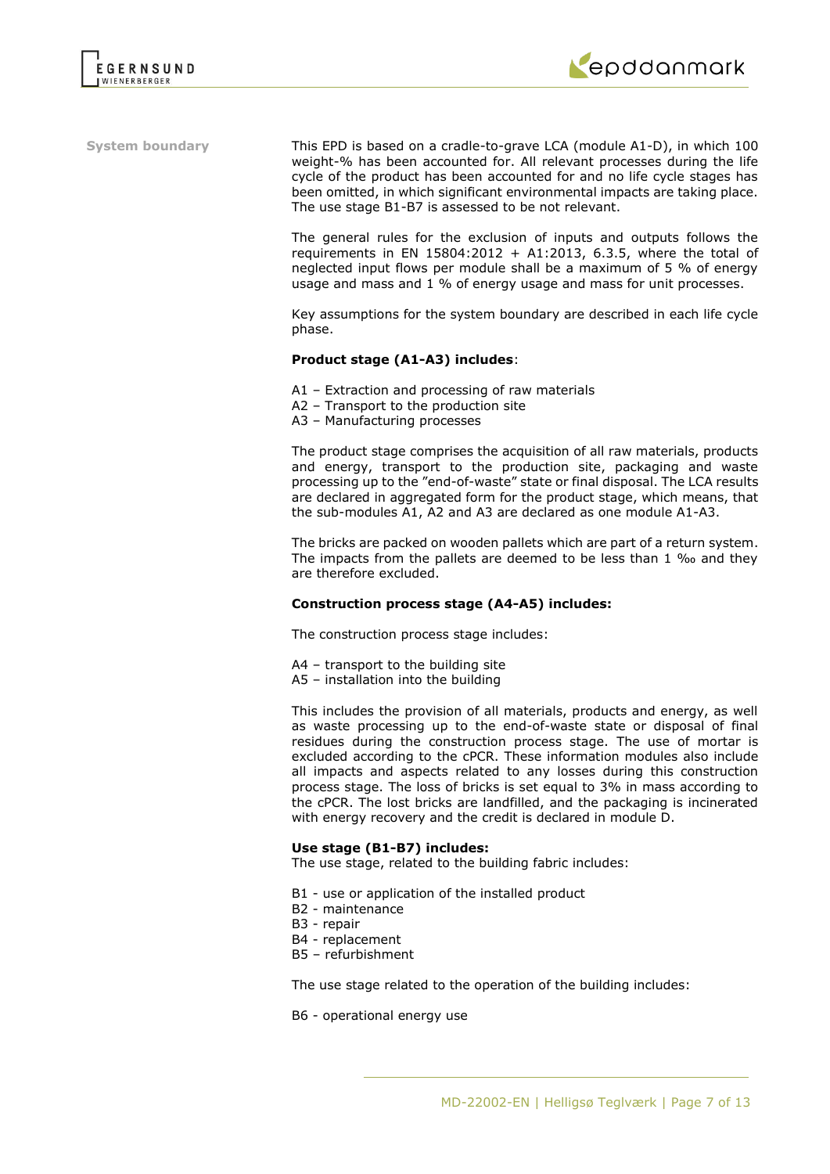

**System boundary** This EPD is based on a cradle-to-grave LCA (module A1-D), in which 100 weight-% has been accounted for. All relevant processes during the life cycle of the product has been accounted for and no life cycle stages has been omitted, in which significant environmental impacts are taking place. The use stage B1-B7 is assessed to be not relevant.

> The general rules for the exclusion of inputs and outputs follows the requirements in EN 15804:2012 + A1:2013, 6.3.5, where the total of neglected input flows per module shall be a maximum of 5 % of energy usage and mass and 1 % of energy usage and mass for unit processes.

> Key assumptions for the system boundary are described in each life cycle phase.

## **Product stage (A1-A3) includes**:

- A1 Extraction and processing of raw materials
- A2 Transport to the production site
- A3 Manufacturing processes

The product stage comprises the acquisition of all raw materials, products and energy, transport to the production site, packaging and waste processing up to the "end-of-waste" state or final disposal. The LCA results are declared in aggregated form for the product stage, which means, that the sub-modules A1, A2 and A3 are declared as one module A1-A3.

The bricks are packed on wooden pallets which are part of a return system. The impacts from the pallets are deemed to be less than 1 ‰ and they are therefore excluded.

### **Construction process stage (A4-A5) includes:**

The construction process stage includes:

- A4 transport to the building site
- A5 installation into the building

This includes the provision of all materials, products and energy, as well as waste processing up to the end-of-waste state or disposal of final residues during the construction process stage. The use of mortar is excluded according to the cPCR. These information modules also include all impacts and aspects related to any losses during this construction process stage. The loss of bricks is set equal to 3% in mass according to the cPCR. The lost bricks are landfilled, and the packaging is incinerated with energy recovery and the credit is declared in module D.

### **Use stage (B1-B7) includes:**

The use stage, related to the building fabric includes:

- B1 use or application of the installed product
- B2 maintenance
- B3 repair
- B4 replacement
- B5 refurbishment

The use stage related to the operation of the building includes:

B6 - operational energy use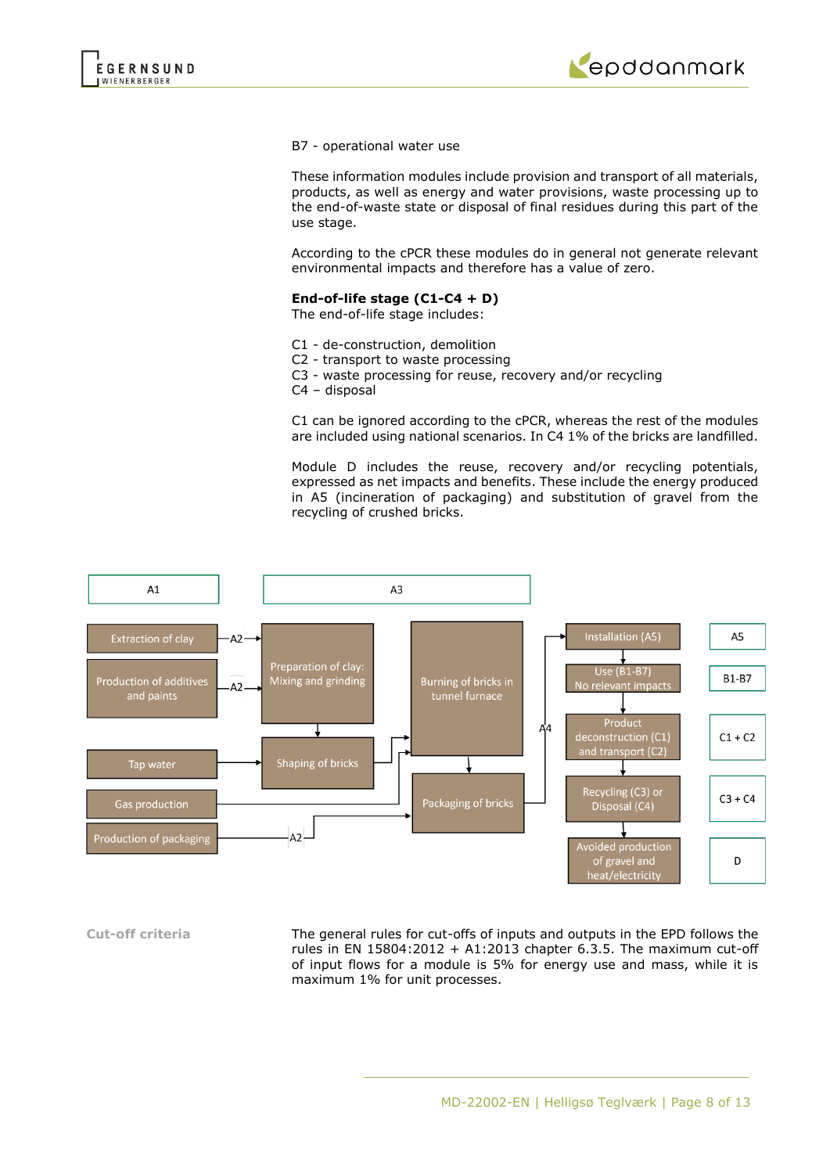

### B7 - operational water use

These information modules include provision and transport of all materials, products, as well as energy and water provisions, waste processing up to the end-of-waste state or disposal of final residues during this part of the use stage.

According to the cPCR these modules do in general not generate relevant environmental impacts and therefore has a value of zero.

## **End-of-life stage (C1-C4 + D)**

The end-of-life stage includes:

- C1 de-construction, demolition
- C2 transport to waste processing
- C3 waste processing for reuse, recovery and/or recycling
- C4 disposal

C1 can be ignored according to the cPCR, whereas the rest of the modules are included using national scenarios. In C4 1% of the bricks are landfilled.

Module D includes the reuse, recovery and/or recycling potentials, expressed as net impacts and benefits. These include the energy produced in A5 (incineration of packaging) and substitution of gravel from the recycling of crushed bricks.



**Cut-off criteria** The general rules for cut-offs of inputs and outputs in the EPD follows the rules in EN  $15804:2012 + A1:2013$  chapter 6.3.5. The maximum cut-off of input flows for a module is 5% for energy use and mass, while it is maximum 1% for unit processes.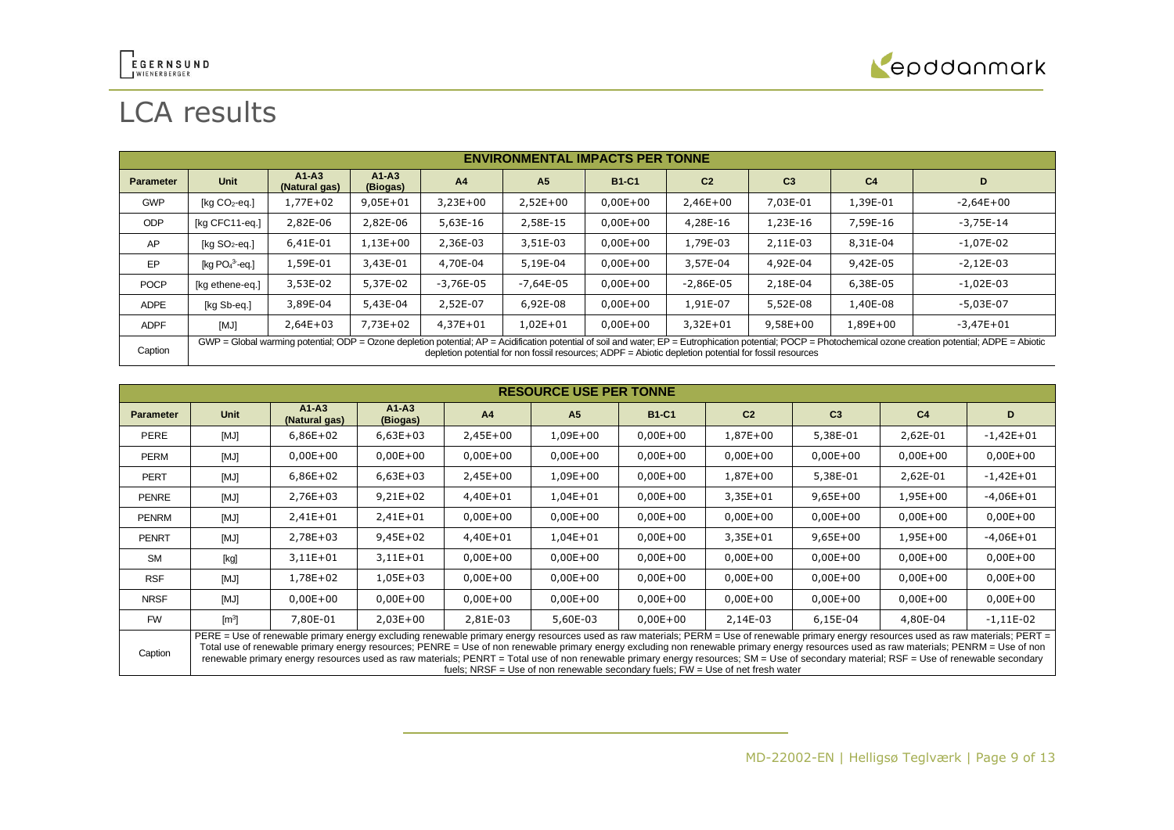

# LCA results

|                  | <b>ENVIRONMENTAL IMPACTS PER TONNE</b>                                                                                                                                                                                                                                                                                 |                            |                     |              |                |              |                |                |                |               |
|------------------|------------------------------------------------------------------------------------------------------------------------------------------------------------------------------------------------------------------------------------------------------------------------------------------------------------------------|----------------------------|---------------------|--------------|----------------|--------------|----------------|----------------|----------------|---------------|
| <b>Parameter</b> | Unit                                                                                                                                                                                                                                                                                                                   | $A1 - A3$<br>(Natural gas) | $A1-A3$<br>(Biogas) | A4           | A <sub>5</sub> | <b>B1-C1</b> | C <sub>2</sub> | C <sub>3</sub> | C <sub>4</sub> | D             |
| <b>GWP</b>       | [ $kg CO2$ -eq.]                                                                                                                                                                                                                                                                                                       | 1,77E+02                   | $9,05E + 01$        | $3,23E+00$   | $2,52E+00$     | $0,00E + 00$ | $2,46E+00$     | 7,03E-01       | 1,39E-01       | $-2,64E+00$   |
| <b>ODP</b>       | [kg CFC11-eg.]                                                                                                                                                                                                                                                                                                         | 2,82E-06                   | 2,82E-06            | 5,63E-16     | 2,58E-15       | $0,00E + 00$ | 4,28E-16       | 1,23E-16       | 7,59E-16       | $-3,75E-14$   |
| AP               | $[kq SO2-eq.]$                                                                                                                                                                                                                                                                                                         | 6,41E-01                   | $1,13E+00$          | 2,36E-03     | 3,51E-03       | $0,00E + 00$ | 1,79E-03       | 2,11E-03       | 8,31E-04       | $-1,07E-02$   |
| EP               | [kg $PO43$ -eg.]                                                                                                                                                                                                                                                                                                       | 1,59E-01                   | 3,43E-01            | 4,70E-04     | 5,19E-04       | $0,00E + 00$ | 3,57E-04       | 4,92E-04       | 9,42E-05       | $-2,12E-03$   |
| <b>POCP</b>      | [kg ethene-eq.]                                                                                                                                                                                                                                                                                                        | 3,53E-02                   | 5,37E-02            | $-3,76E-05$  | $-7,64E-05$    | $0,00E + 00$ | $-2,86E-05$    | 2,18E-04       | 6,38E-05       | $-1,02E-03$   |
| <b>ADPE</b>      | [kg Sb-eg.]                                                                                                                                                                                                                                                                                                            | 3,89E-04                   | 5,43E-04            | 2,52E-07     | 6,92E-08       | $0,00E+00$   | 1,91E-07       | 5,52E-08       | 1,40E-08       | $-5.03E-07$   |
| <b>ADPF</b>      | [MJ]                                                                                                                                                                                                                                                                                                                   | $2,64E+03$                 | $7.73E + 02$        | $4.37E + 01$ | $1.02E + 01$   | $0.00E + 00$ | $3.32E + 01$   | $9.58E + 00$   | 1,89E+00       | $-3.47E + 01$ |
| Caption          | GWP = Global warming potential; ODP = Ozone depletion potential; AP = Acidification potential of soil and water; EP = Eutrophication potential; POCP = Photochemical ozone creation potential; ADPE = Abiotic<br>depletion potential for non fossil resources; ADPF = Abiotic depletion potential for fossil resources |                            |                     |              |                |              |                |                |                |               |

|                  | <b>RESOURCE USE PER TONNE</b>                                                                                                                                                                                                                                                                                                                                                                                                                                                                                                                                                                                                                                        |                          |                     |            |                |              |                |                |                |              |
|------------------|----------------------------------------------------------------------------------------------------------------------------------------------------------------------------------------------------------------------------------------------------------------------------------------------------------------------------------------------------------------------------------------------------------------------------------------------------------------------------------------------------------------------------------------------------------------------------------------------------------------------------------------------------------------------|--------------------------|---------------------|------------|----------------|--------------|----------------|----------------|----------------|--------------|
| <b>Parameter</b> | Unit                                                                                                                                                                                                                                                                                                                                                                                                                                                                                                                                                                                                                                                                 | $A1-A3$<br>(Natural gas) | $A1-A3$<br>(Biogas) | A4         | A <sub>5</sub> | <b>B1-C1</b> | C <sub>2</sub> | C <sub>3</sub> | C <sub>4</sub> | D            |
| PERE             | [MJ]                                                                                                                                                                                                                                                                                                                                                                                                                                                                                                                                                                                                                                                                 | $6,86E+02$               | $6,63E+03$          | $2,45E+00$ | $1,09E+00$     | $0,00E+00$   | 1,87E+00       | 5,38E-01       | 2,62E-01       | $-1,42E+01$  |
| <b>PERM</b>      | [MJ]                                                                                                                                                                                                                                                                                                                                                                                                                                                                                                                                                                                                                                                                 | $0,00E+00$               | $0,00E+00$          | $0,00E+00$ | $0,00E+00$     | $0,00E+00$   | $0,00E + 00$   | $0,00E+00$     | $0,00E + 00$   | $0,00E + 00$ |
| <b>PERT</b>      | [MJ]                                                                                                                                                                                                                                                                                                                                                                                                                                                                                                                                                                                                                                                                 | $6,86E+02$               | $6,63E+03$          | $2,45E+00$ | 1,09E+00       | $0,00E+00$   | 1,87E+00       | 5,38E-01       | 2,62E-01       | $-1,42E+01$  |
| <b>PENRE</b>     | [MJ]                                                                                                                                                                                                                                                                                                                                                                                                                                                                                                                                                                                                                                                                 | 2,76E+03                 | $9,21E+02$          | 4,40E+01   | $1,04E + 01$   | $0,00E+00$   | 3,35E+01       | $9,65E+00$     | 1,95E+00       | $-4,06E+01$  |
| <b>PENRM</b>     | [MJ]                                                                                                                                                                                                                                                                                                                                                                                                                                                                                                                                                                                                                                                                 | $2,41E+01$               | $2,41E+01$          | $0,00E+00$ | $0,00E+00$     | $0,00E+00$   | $0,00E + 00$   | $0,00E+00$     | $0,00E+00$     | $0,00E + 00$ |
| <b>PENRT</b>     | [MJ]                                                                                                                                                                                                                                                                                                                                                                                                                                                                                                                                                                                                                                                                 | 2,78E+03                 | $9,45E+02$          | 4,40E+01   | $1,04E + 01$   | $0,00E+00$   | 3,35E+01       | $9,65E+00$     | 1,95E+00       | $-4,06E+01$  |
| <b>SM</b>        | [kg]                                                                                                                                                                                                                                                                                                                                                                                                                                                                                                                                                                                                                                                                 | $3,11E+01$               | $3,11E+01$          | $0,00E+00$ | $0,00E+00$     | $0,00E+00$   | $0,00E + 00$   | $0,00E+00$     | $0,00E + 00$   | $0,00E + 00$ |
| <b>RSF</b>       | [MJ]                                                                                                                                                                                                                                                                                                                                                                                                                                                                                                                                                                                                                                                                 | 1,78E+02                 | $1,05E+03$          | $0,00E+00$ | $0,00E+00$     | $0,00E+00$   | $0,00E + 00$   | $0,00E+00$     | $0,00E+00$     | $0,00E + 00$ |
| <b>NRSF</b>      | [MJ]                                                                                                                                                                                                                                                                                                                                                                                                                                                                                                                                                                                                                                                                 | $0,00E+00$               | $0,00E+00$          | $0,00E+00$ | $0,00E+00$     | $0,00E+00$   | $0,00E + 00$   | $0,00E+00$     | $0,00E+00$     | $0,00E + 00$ |
| <b>FW</b>        | $\mathsf{[m]}$                                                                                                                                                                                                                                                                                                                                                                                                                                                                                                                                                                                                                                                       | 7,80E-01                 | $2,03E+00$          | 2,81E-03   | 5,60E-03       | $0,00E+00$   | 2,14E-03       | 6,15E-04       | 4,80E-04       | $-1,11E-02$  |
| Caption          | PERE = Use of renewable primary energy excluding renewable primary energy resources used as raw materials; PERM = Use of renewable primary energy resources used as raw materials; PERT =<br>Total use of renewable primary energy resources; PENRE = Use of non renewable primary energy excluding non renewable primary energy resources used as raw materials; PENRM = Use of non<br>renewable primary energy resources used as raw materials; PENRT = Total use of non renewable primary energy resources; SM = Use of secondary material; RSF = Use of renewable secondary<br>fuels; NRSF = Use of non renewable secondary fuels; $FW = Use$ of net fresh water |                          |                     |            |                |              |                |                |                |              |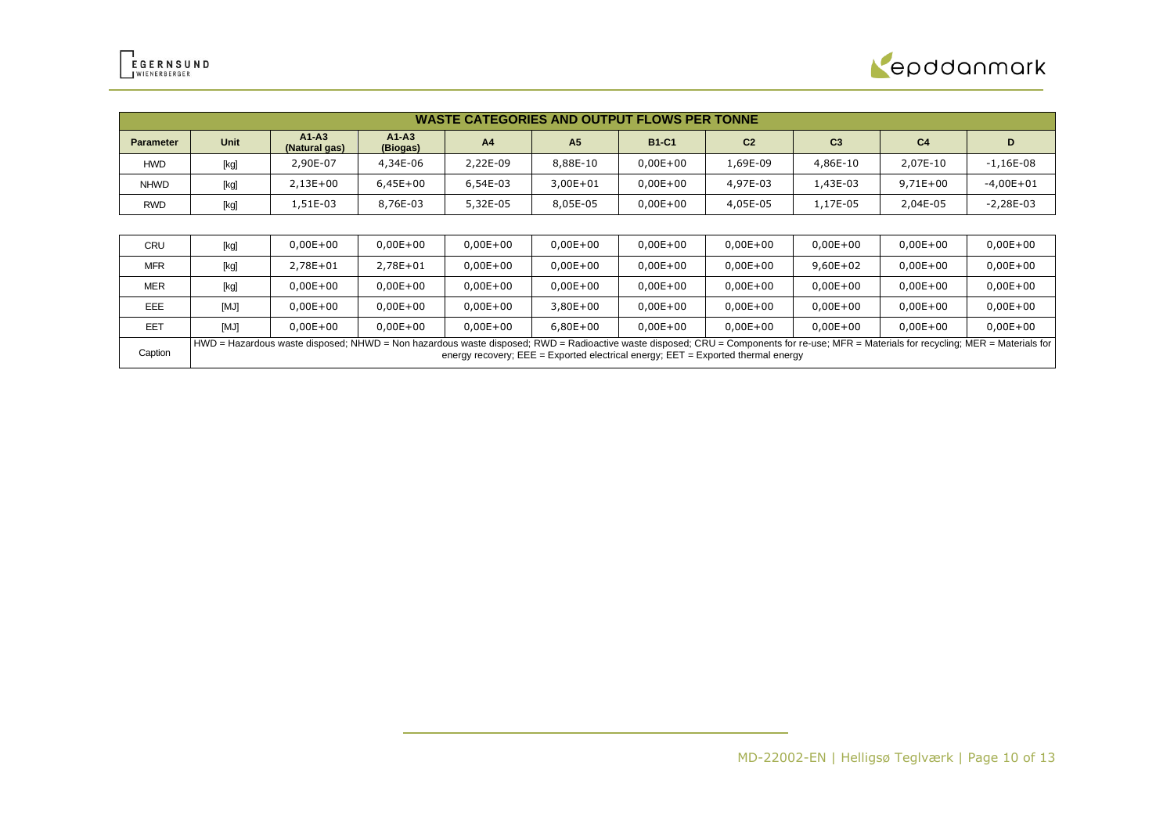

|                  | <b>WASTE CATEGORIES AND OUTPUT FLOWS PER TONNE</b> |                                                                                                                                                                                                                                                                                 |                     |                |                |              |                |                |                |              |
|------------------|----------------------------------------------------|---------------------------------------------------------------------------------------------------------------------------------------------------------------------------------------------------------------------------------------------------------------------------------|---------------------|----------------|----------------|--------------|----------------|----------------|----------------|--------------|
| <b>Parameter</b> | Unit                                               | $A1-A3$<br>(Natural gas)                                                                                                                                                                                                                                                        | $A1-A3$<br>(Biogas) | A <sub>4</sub> | A <sub>5</sub> | <b>B1-C1</b> | C <sub>2</sub> | C <sub>3</sub> | C <sub>4</sub> | D            |
| HWD              | [kg]                                               | 2,90E-07                                                                                                                                                                                                                                                                        | 4,34E-06            | 2,22E-09       | 8,88E-10       | $0,00E+00$   | 1,69E-09       | 4,86E-10       | 2,07E-10       | $-1,16E-08$  |
| <b>NHWD</b>      | [kg]                                               | $2,13E+00$                                                                                                                                                                                                                                                                      | $6,45E+00$          | 6,54E-03       | $3,00E + 01$   | $0,00E+00$   | 4,97E-03       | 1,43E-03       | $9,71E+00$     | $-4,00E+01$  |
| RWD              | [kg]                                               | 1,51E-03                                                                                                                                                                                                                                                                        | 8,76E-03            | 5,32E-05       | 8,05E-05       | $0,00E+00$   | 4,05E-05       | 1,17E-05       | 2,04E-05       | $-2,28E-03$  |
|                  |                                                    |                                                                                                                                                                                                                                                                                 |                     |                |                |              |                |                |                |              |
| CRU              | [kg]                                               | $0,00E+00$                                                                                                                                                                                                                                                                      | $0,00E + 00$        | $0,00E + 00$   | $0,00E+00$     | $0,00E+00$   | $0,00E + 00$   | $0,00E + 00$   | $0,00E+00$     | $0,00E + 00$ |
| <b>MFR</b>       | [kg]                                               | 2,78E+01                                                                                                                                                                                                                                                                        | 2,78E+01            | $0,00E+00$     | $0,00E+00$     | $0,00E+00$   | $0,00E + 00$   | $9,60E+02$     | $0,00E + 00$   | $0,00E+00$   |
| <b>MER</b>       | [kg]                                               | $0,00E+00$                                                                                                                                                                                                                                                                      | $0,00E+00$          | $0,00E+00$     | $0,00E+00$     | $0,00E+00$   | $0,00E + 00$   | $0,00E+00$     | $0,00E + 00$   | $0,00E+00$   |
| EEE              | [MJ]                                               | $0,00E+00$                                                                                                                                                                                                                                                                      | $0,00E+00$          | $0,00E+00$     | $3,80E+00$     | $0,00E+00$   | $0,00E + 00$   | $0,00E+00$     | $0,00E + 00$   | $0,00E+00$   |
| <b>EET</b>       | [MJ]                                               | $0.00E + 00$                                                                                                                                                                                                                                                                    | $0,00E + 00$        | $0,00E+00$     | $6,80E+00$     | $0.00E + 00$ | $0,00E + 00$   | $0,00E+00$     | $0,00E + 00$   | $0,00E+00$   |
| Caption          |                                                    | HWD = Hazardous waste disposed; NHWD = Non hazardous waste disposed; RWD = Radioactive waste disposed; CRU = Components for re-use; MFR = Materials for recycling; MER = Materials for<br>energy recovery; $EEE = Exported electrical energy$ ; $EET = Exported thermal energy$ |                     |                |                |              |                |                |                |              |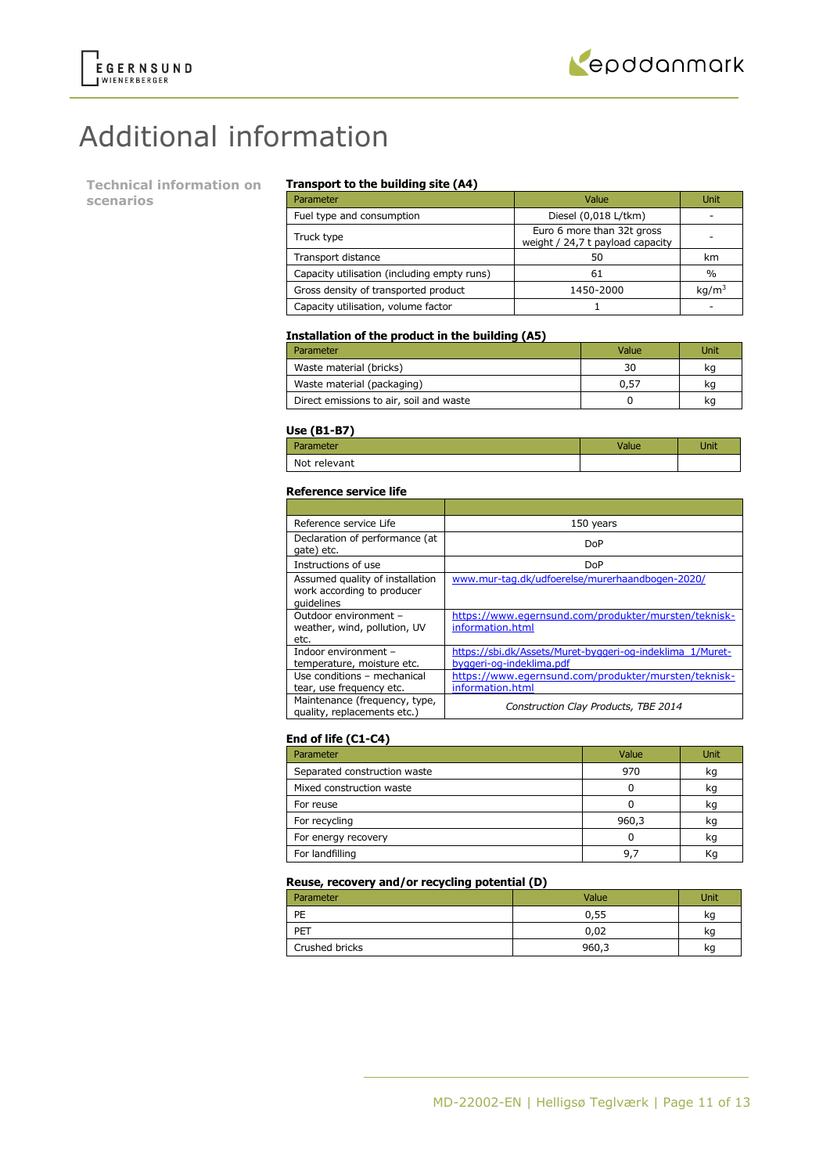

# Additional information

**Technical information on scenarios**

### **Transport to the building site (A4)**

| Parameter                                   | Value                                                          | Unit              |
|---------------------------------------------|----------------------------------------------------------------|-------------------|
| Fuel type and consumption                   | Diesel (0,018 L/tkm)                                           |                   |
| Truck type                                  | Euro 6 more than 32t gross<br>weight / 24,7 t payload capacity |                   |
| Transport distance                          | 50                                                             | km                |
| Capacity utilisation (including empty runs) | 61                                                             | $\frac{0}{0}$     |
| Gross density of transported product        | 1450-2000                                                      | kq/m <sup>3</sup> |
| Capacity utilisation, volume factor         |                                                                |                   |

### **Installation of the product in the building (A5)**

| Parameter                               | Value | Unit |
|-----------------------------------------|-------|------|
| Waste material (bricks)                 | 30    | ka   |
| Waste material (packaging)              | 0.57  | kq   |
| Direct emissions to air, soil and waste |       | kq   |

#### **Use (B1-B7)**

| -----        |      |
|--------------|------|
| Parameter    | Jnit |
| Not relevant |      |

#### **Reference service life**

| Reference service Life                                                      | 150 years                                                                             |
|-----------------------------------------------------------------------------|---------------------------------------------------------------------------------------|
| Declaration of performance (at<br>gate) etc.                                | DoP                                                                                   |
| Instructions of use                                                         | DoP                                                                                   |
| Assumed quality of installation<br>work according to producer<br>quidelines | www.mur-tag.dk/udfoerelse/murerhaandbogen-2020/                                       |
| Outdoor environment -<br>weather, wind, pollution, UV<br>etc.               | https://www.egernsund.com/produkter/mursten/teknisk-<br>information.html              |
| Indoor environment -<br>temperature, moisture etc.                          | https://sbi.dk/Assets/Muret-byggeri-og-indeklima 1/Muret-<br>byggeri-og-indeklima.pdf |
| Use conditions - mechanical<br>tear, use frequency etc.                     | https://www.egernsund.com/produkter/mursten/teknisk-<br>information.html              |
| Maintenance (frequency, type,<br>quality, replacements etc.)                | Construction Clay Products, TBE 2014                                                  |

### **End of life (C1-C4)**

| Parameter                    | Value | <b>Unit</b> |
|------------------------------|-------|-------------|
| Separated construction waste | 970   | kg          |
| Mixed construction waste     |       | kq          |
| For reuse                    |       | kg          |
| For recycling                | 960,3 | kq          |
| For energy recovery          |       | kg          |
| For landfilling              | 9.    |             |

### **Reuse, recovery and/or recycling potential (D)**

| Parameter      | Value | Unit |
|----------------|-------|------|
| PE             | 0,55  | kq   |
| PET            | 0,02  | ĸq   |
| Crushed bricks | 960,3 | kg   |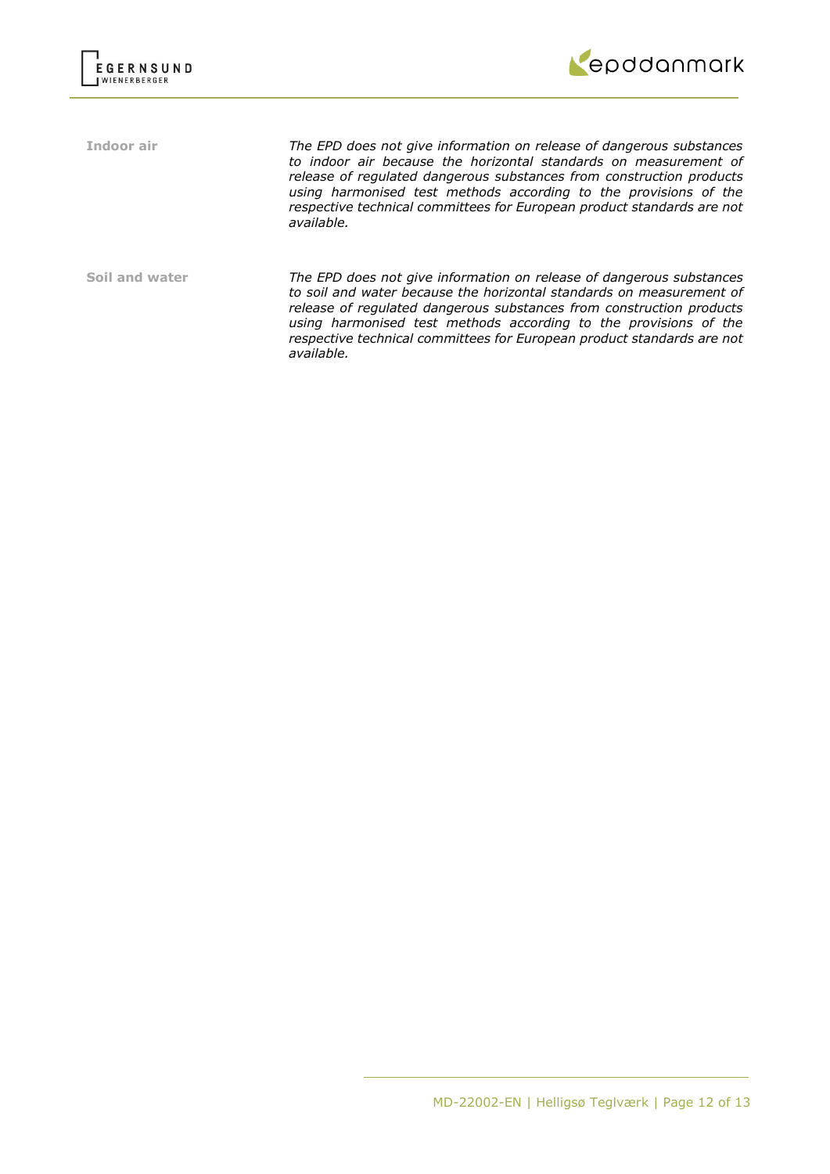



**Indoor air** *The EPD does not give information on release of dangerous substances to indoor air because the horizontal standards on measurement of release of regulated dangerous substances from construction products using harmonised test methods according to the provisions of the respective technical committees for European product standards are not available.*

**Soil and water** *The EPD does not give information on release of dangerous substances to soil and water because the horizontal standards on measurement of release of regulated dangerous substances from construction products using harmonised test methods according to the provisions of the respective technical committees for European product standards are not available.*